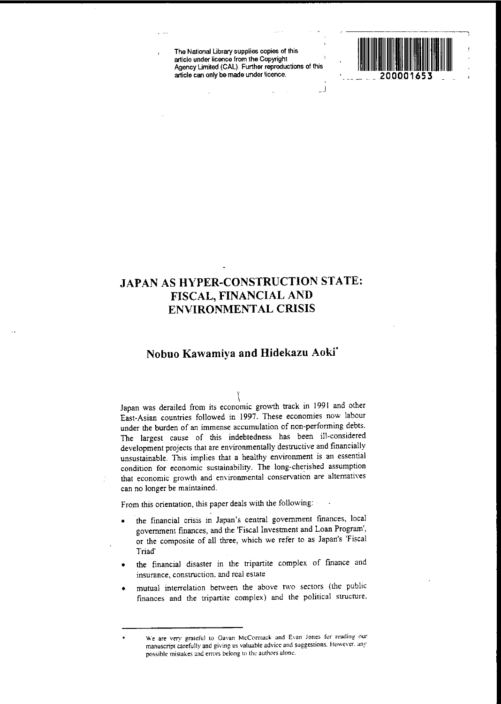**The National Ubrary supplies copies of this article under licence from the Copyright** Agency Limited (CAL). Further reproductions of this **article can only be made under licence.**

.<br>ل\_



# **JAPAN AS HYPER-CONSTRUCTION STATE: FISCAL, FINANCIAL AND ENVIRONMENTAL CRISIS**

# **Nobuo Kawamiya and Hidekazu Aokf**

\ Japan was derailed from its economic growth track in 1991 and other East-Asian countries followed in 1997. These economies now labour **under the burden of an immense accumulation of non-performing debts.** The largest cause of this indebtedness has been ill-considered development projects that are environmentally destructive and financially unsustainable. This implies that a healthy environment is an essential  $condition$  **for economic** sustainability. The long-cherished assumption **that economic growth and environmental conservation are alternatives can no longer be maintained.**

From this orientation, this paper deals with the following:

- **• the financial crisis in Japan's central government fmances, local** government fmances, and the 'Fiscal Investment and Loan Program', or the composite of all three, which we refer to as Japan's 'Fiscal Triad'
- the financial disaster in the tripartite complex of fmance and **insurance, construction, and real estate**
- mutual interrelation between the above two sectors (the public **finances and the tripartite complex) and the political strucrure.**

**We are very grateful to Gavan McConnack and Evan Jones fur reading our manuscript carefully and giving us valuable advice and suggestions. However. any**  $\mu$  **possible** mistakes and errors belong to the authors alone.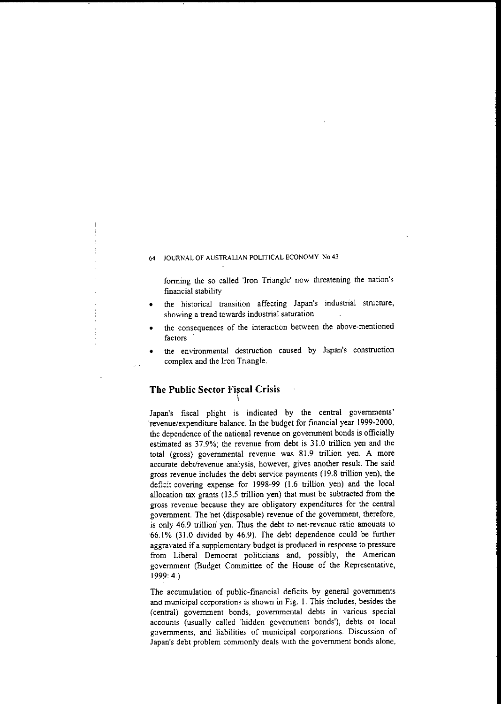forming the so called 'Iron Triangle' now threatening the nation's fmancial stability

- the historical transition affecting Japan's industrial structure, **showing a trend towards industrial saturation**
- **• the consequences of the interaction between the above-mentioned factors**
- $the$  **environmental** destruction caused by Japan's construction complex and the **Iron** Triangle.

## **The Public Sector Fiscal Crisis**

Japan's fiscal plight is indicated by the central governments' revenue/expenditure balance. In the budget for financial year 1999-2000, the dependence of the national revenue on government bonds is officially estimated as 37.9%; the revenue from debt is 31.0 trillion yen and the total (gross) governmental revenue was 81.9 trillion yen. A more **accurate debt/revenue analysis, however, gives another result. The said** gross revenue includes the debt service payments (19.8 trillion yen), the deficit covering expense for 1998-99 (1.6 trillion yen) and the local allocation tax grants (13.5 trillion yen) that must be subtracted from the gross revenue because they are obligatory expenditures for the central government. The 'net (disposable) revenue of the government, therefore, is only 46.9 trillion' yen. Thus the debt to net-revenue ratio amounts to 66.1 % (31.0 divided by 46.9). The debt dependence could be further aggravated if a supplementary budget is produced in response to pressure from Liberal Democrat politicians and, possibly, the American government (Budget Committee of the House of the Representative, 1999:4.)

The accumulation of public-financial deficits by general governments ana municipal corporations is shown in Fig. I. This includes, besides the (central) government bonds, governmental debts in various special accounts (usually called 'hidden government bonds'), debts 01 local **governments, and liabilities of municipal corporations. Discussion of** Japan's debt problem commonly deals with the government bonds alone.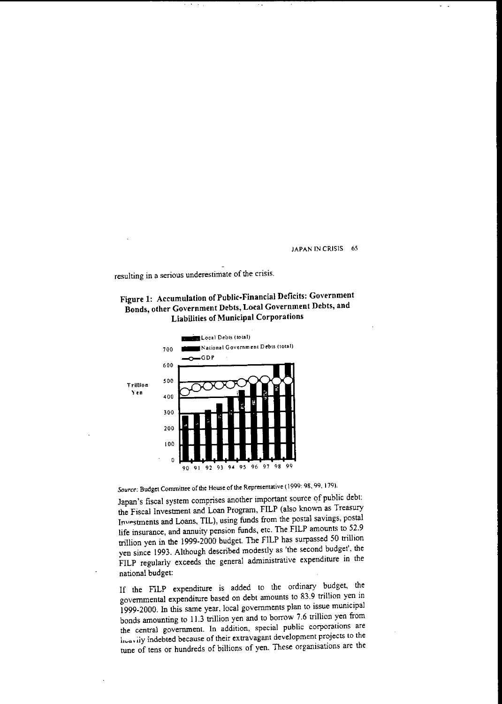L  $\sim$ 

resulting in a serious underestimate of the crisis.





Source: Budget Committee of the House of the Representative (1999: 98, 99, 179).

Japan's fiscal system comprises another important source of public debt: the Fiscal Investment and Loan Program, FILP (also known as Treasury Investments and Loans, TIL), using funds from the postal savings, postal life insurance, and annuity pension funds, etc. The FILP amounts to 52.9 trillion yen in the 1999·2000 budget. The FILP has surpassed 50 trillion yen since 1993. Although described modestly as 'the second budget', the FILP regularly exceeds the general administrative expenditure in the national budget:

If the F1LP expenditure is added to the ordinary budget, the governmental expenditure based on debt amounts to 83.9 trillion yen in 1999.2000. In this same year. local governments plan to issue municipal bonds amounting to 11.3 trillion yen and to borrow 7.6 trillion yen from the central government. In addition, special public corporations are licavily indebted because of their extravagant development projects to the tune of tens or hundreds of billions of yen. These organisations are the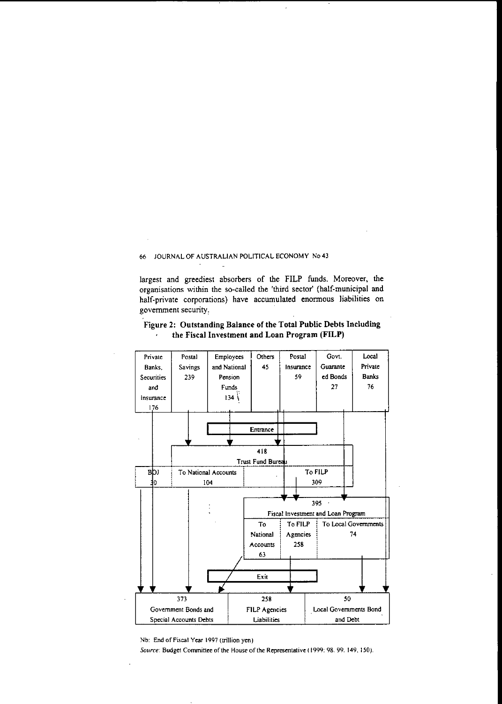largest and greediest absorbers of the F1LP funds. Moreover, the organisations within the so-called the 'third sector' (half-municipal and half-private corporations) have accumulated enormous liabilities on government security:



#### Figure 2: Outstanding Balance of the Total Public Debts Including the Fiscal Investment and Loan Program (FILP)  $\lambda$

Nb: End of Fiscal Year 1997 (trillion yen)

Source: Budget Committee of the House of the Representative (1999: 98. 99. 149, 150).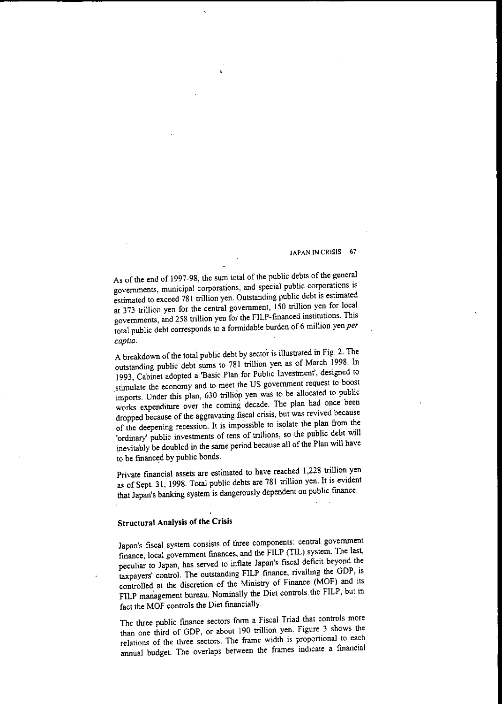As of the end of 1997-98, the sum total of the public debts of the general **governments, municipal corporations, and special public corporations is** estimated to exceed 781 trillion yen. Outstanding public debt is estimated at 373 trillion yen for the central government, 150 trillion yen for local governments, and 258 trillion yen for the FILP-financed institutions. This total public debt corresponds to a formidable burden of 6 million yen *per capita.*

A breakdown of the total public debt by sector is illustrated in Fig. 2. The outstanding public debt sums to 781 trillion yen as of March 1998. In 1993, Cabinet adopted a 'Basic Plan for Public Investment', designed to stimulate the economy and to meet the US government request to boost imports. Under this plan, 630 trillion yen was to be allocated to public works expenditure over the coming decade. The plan had once been dropped because of the aggravating fiscal crisis, but was revived because of the deepening recession. It is impossible to isolate the plan from the 'ordinary' public investments of tens of trillions, so the public debt will inevitably be doubled in the same period because all of the Plan will have to be financed by public bonds.

Private fmancial assets are estimated to have reached 1,228 trillion yen as of Sept. 31, 1998. Total public debts are 781 trillion yen. It is evident that Japan's banking system is dangerously dependent on public fmance.

# Structural Analysis of the Crisis

Japan's fiscal system consists of three components: central government fmance, local government fmances, and the FILP (TIL) system. The last, peculiar to Japan, has served to inflate Japan's fiscal deficit beyond the taxpayers' control. The outstanding FILP fmance, rivalling the GDP, is controlled at the discretion of the Ministry of Finance (MOF) and its FlLP management bureau. Nominally the Diet controls the FILP, but in fact the MOF controls the Diet fmancially.

The three public finance sectors form a Fiscal Triad that controls more than one third of GDP, or about 190 trillion yen. Figure 3 shows the **relations of the three sectors. The frame width is proportional to each** armual budget. The overlaps between the frames indicate a fmancial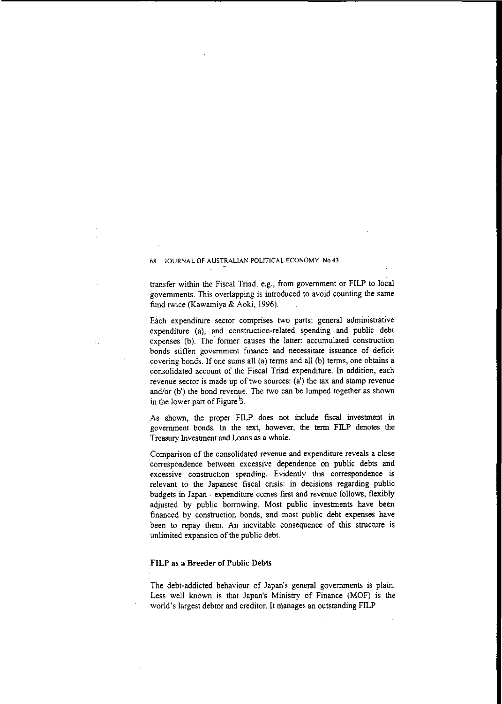transfer within the Fiscal Triad, e.g., from government or **FILP** to local governments. This overlapping is introduced to avoid counting the same fund twice (Kawamiya & Aoki, 1996).

Each expenditure sector comprises two parts: general administrative expenditure (a), and construction-related spending and public debt expenses (b). The former causes the latter: accumulated construction **bonds stiffen government fmance and necessitate issuance of deficit** covering bonds. If one sums all (a) terms and all (b) terms, one obtains a consolidated account of the Fiscal Triad expenditure. In addition, each revenue sector is made up of two sources: (a') the tax and stamp revenue and/or (b') the bond revenue. The two can be lumped together as shown in the lower part of Figure  $\overline{3}$ .

As shown, the proper FILP does not include fiscal investment in government bonds. In the text, however, the term FILP denotes the Treasury Investment and Loans as a whole.

**Comparison of the consolidated revenue and expenditure reveals a close** correspondence between excessive dependence on public debts and **excessive construction spending. Evidently this correspondence is** relevant to the Japanese fiscal crisis: in decisions regarding public budgets in Japan - expenditure comes first and revenue follows, flexibly adjusted by public borrowing. Most public investments have been financed by construction bonds, and most public debt expenses have been to repay them. An inevitable consequence of this structure is unlimited expansion of the public debt.

## **FILP as a Breeder of Public Debts**

The debt-addicted behaviour of Japan's general governments is plain. Less well known is that Japan's Ministry of Finance (MOF) is the world's largest debtor and creditor. It manages an outstanding **FlLP**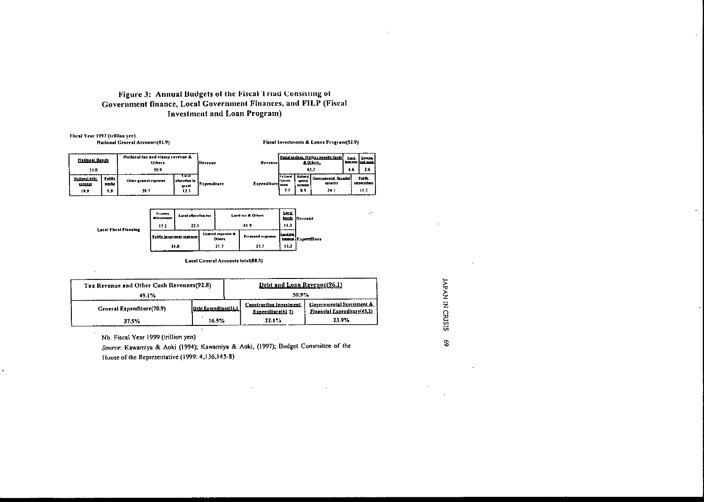## Figure 3: Annual Budgets of the Fiscal Triad Consisting of Government finance, Local Government Finances, and FILP (Fiscal Investment and. Loan Program)

Fiscal Year 1997 (frillion yen)<br>National General Accounts(81.9)

Fiscal Investments & Loans Program(52.9)

| National Donda<br>31.0                            |                        | National tax and stamp revenue &<br><b>Others</b><br>50.9 |                                         | <b>IRevenue</b>    | Revenuel                    | Postal sayings. Welfare ennelty fundal<br>& Others<br>43.7 |                                 |                                                  | Luis.<br>6.6 | <b>Cruze</b><br><b>Secure Ives consid</b><br>2.6 |
|---------------------------------------------------|------------------------|-----------------------------------------------------------|-----------------------------------------|--------------------|-----------------------------|------------------------------------------------------------|---------------------------------|--------------------------------------------------|--------------|--------------------------------------------------|
| <b>Mutterni siebt</b><br><b>SALDERIAS</b><br>19.8 | Lubilt<br>marka<br>9.9 | <b>Other general expenses</b><br>38.7                     | Likat<br>allocation to<br>grant<br>13.5 | <b>Expenditure</b> | Expenditure <sub>mean</sub> | <b>To Level</b><br>Corre-<br>11                            | unedal<br><b>ALCOHOLS</b><br>59 | Bailerat Garerameatal flauncial<br>anado<br>24 1 |              | <b>Libbs</b><br><b>unuths</b><br>12.2            |



Local General Accounts total(88.5)

| Tax Revenue and Other Cash Revenues(92.8) |                        | Debt and Loan Revenue(96.1) |                                              |                                                          |  |  |
|-------------------------------------------|------------------------|-----------------------------|----------------------------------------------|----------------------------------------------------------|--|--|
| 49.1%                                     |                        | 50.9%                       |                                              |                                                          |  |  |
| General Expenditure(70.9)                 | Debt Exnenditure(31.1) |                             | Construction Investment<br>Expenditure(41 7) | Governmental Investment &<br>Financial Expenditure(45.2) |  |  |
| 37.5%                                     | 16.5%                  |                             | 22.1%                                        | 23.9%                                                    |  |  |

Nb: Fiscal Year 1999 (trillion yen)

*Source:* Kawamiya & Aoki (1994); Kawamiya & Aoki, (1997); Dudget CommiUce of lhe House of the Represenlative (1999: 4.136.145-8)

'Z z n C! *V>* in  $\mathcal{S}$   $\mathcal{A}^{\pm}$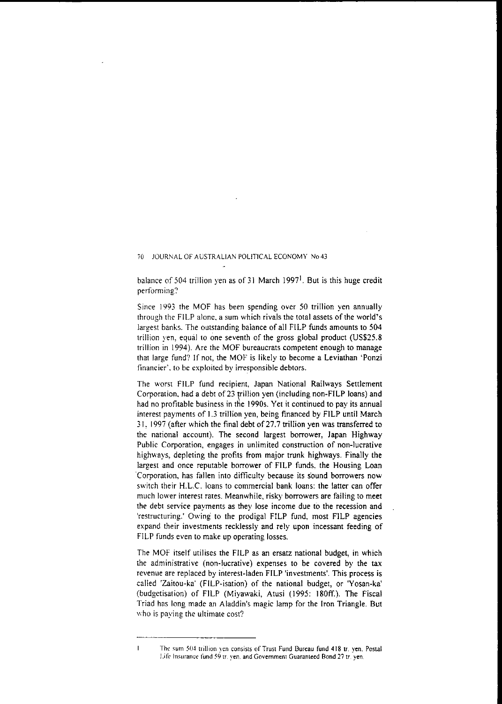balance of 504 trillion yen as of 31 March 1997<sup>1</sup>. But is this huge credit **performing?**

Since 1993 the MOF has been spending over 50 trillion yen annually through the FILP alone, a sum which rivals the total assets of the world's largest banks. The outstanding balance of all FILP funds amounts to 504 trillion yen. equal to one seventh of the gross global product (US\$25.8 trillion in 1994). Are the MOF bureaucrats competent enough to manage that large fund? If not, the MOF is likely to become a Leviathan 'Ponzi financier'. to be exploited by irresponsible debtors.

The worst FILP fund recipient, Japan National Railways Settlement Corporation, had a debt of 23 trillion yen (including non-FILP loans) and had no profitable business in the 1990s. Yet it continued to pay its annual interest payments of 1.3 trillion yen, being financed by FILP until March 31, 1997 (after which the final debt of27.7 trillion yen was transferred to the national account). The second largest borrower, Japan Highway Public Corporation, engages in unlimited construction of non-lucrative highways, depleting the profits from major trunk highways. Finally the largest and once reputable borrower of FILP funds. the Housing Loan 'Corporation, has fallen into difficulty because its sound borrowers now switch their H.L.C. loans to commercial bank loans: the latter can offer much lower interest rates. Meanwhile, risky borrowers are failing to meet the debt service payments as they lose income due to the recession and 'restructuring.' Owing to the prodigal FILP fund, most FILP agencies expand their investments recklessly and rely upon incessant feeding of FILP funds even to make up operating losses.

The MOF itself utilises the FILP as an ersatz national budget, in which the administrative (non-lucrative) expenses to be covered by the tax revenue are replaced by interest-laden FILP 'investments'. This process is called 'Zaitou-ka' (FILP-isation) of the national budget, or 'Yosan-ka' (budgetisation) of FILP (Miyawaki, Atusi (1995: 180ff.). The Fiscal Triad has long made an Aladdin's magic lamp for the Iron Triangle. But **who is paying the ultimate cost?**

 $\mathbf{I}$ 

**The sum 50-1 trillion yen consists or Trust Fund Bureau fund 418 tr. yen. Postal Lirt: Insurance fund 59 tT. yen. and Government Guaranteed Bond 27 tr. yen.**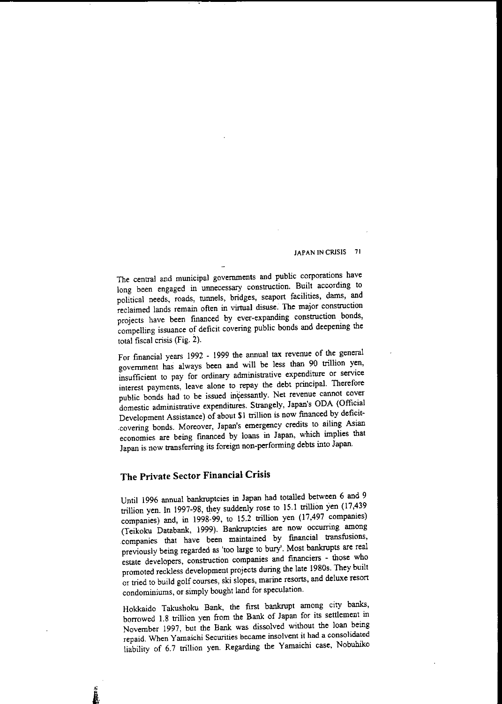The central and municipal governments and public corporations have long been engaged in unnecessary construction. Built according to political needs, roads, tunnels, bridges, seaport facilities, dams, and reclaimed lands remain often in virtual disuse. The major construction projects have been financed by ever-expanding construction bonds, compelling issuance of deficit covering public bonds and deepening the total fiscal crisis (Fig. 2).

For financial years 1992 - 1999 the annual tax revenue of the general government has always been and will be less than 90 trillion yen, insufficient to pay for ordinary administrative expenditure or service interest payments, leave alone to repay the debt principal. Therefore public bonds had to be issued incessantly. Net revenue cannot cover domestic administrative expenditures. Strangely, Japan's ODA (Official Development Assistance) of about SI trillion is now financed by deficit- .covering bonds. Moreover, Japan's emergency credits to ailing Asian economies are being fmanced by loans in Japan, which implies that Japan is now transferring its foreign non-performing debts into Japan.

# **The Private Sector Financial Crisis**

Until 1996 annual bankruptcies in Japan had totalled between 6 and 9 trillion yen. In 1997-98, they suddenly rose to 15.1 trillion yen (17,439 companies) and, in 1998-99, to 15.2 trillion yen (17,497 companies) (Teikoku Databank, 1999). Bankruptcies are now occurring among .companies that have been maintained by fmancial transfusions, previously being regarded as 'too large to bury'. Most bankrupts are real estate developers, construction companies and fmanciers - those who promoted reckless development projects during the late 1980s. They built or tried to build golf courses, ski slopes, marine resorts, and deluxe resort condominiums, or simply bought land for speculation.

Hokkaido Takushoku Bank, the first bankrupt among city banks, borrowed 1.8 trillion yen from the Bank of Japan for its sertlement in November 1997, but the Bank was dissolved without the loan being **repaid. When Yamaichi Securities became insolvent it had a consolidated** liability of 6.7 trillion yen. Regarding the Yamaichi case, Nobuhiko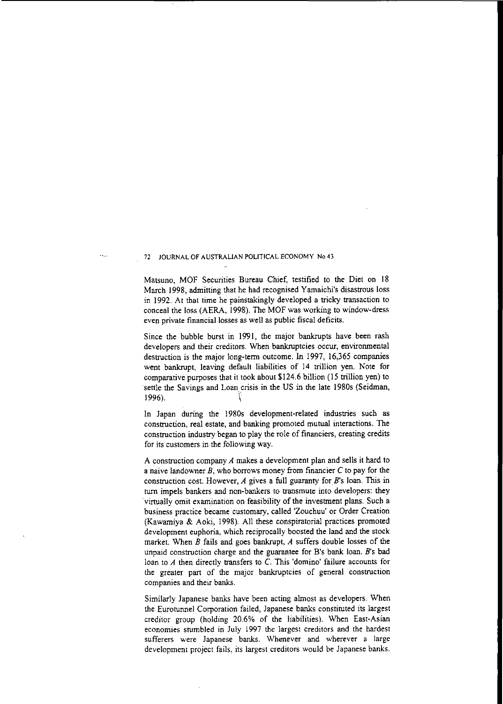Matsuno, MOF Securities Bureau Chief, testified to the Diet on 18 March 1998, admitting that he had recognised Yamaichi's disastrous loss in 1992. At that time he painstakingly developed a tricky transaction to conceal the loss (AERA, 1998). The MOF was working to window-dress **even private** financial losses **as well as public fiscal deficits.**

Since the bubble burst in 1991, the major bankrupts have been rash developers and their creditors. When bankruptcies occur, environmental destruction is the major long-term outcome. In 1997, 16,365 companies went bankrupt, leaving default liabilities of 14 trillion yen. Note for comparative purposes that it took about \$124.6 billion (IS trillion yen) to settle the Savings and Loan crisis in the US in the late 1980s (Seidman, 1996). \

In Japan during the 1980s development-related industries such as construction, real estate, and banking promoted mutual interactions. The construction industry began to play the role of financiers, creating credits for its customers in the following way.

A construction company *A* makes a development plan and sells it hard to a naive landowner  $B$ , who borrows money from financier  $C$  to pay for the construction cost. However,  $A$  gives a full guaranty for  $B$ 's loan. This in turn impels bankers and non-bankers to transmute into developers: they virtually omit examination on feasibility of the investment plans. Such a business practice became customary, called 'Zouchuu' or Order Creation (Kawamiya & Aoki, 1998). All these conspiratorial practices promoted development euphoria, which reciprocally boosted the land and the stock market. When  $B$  fails and goes bankrupt,  $A$  suffers double losses of the unpaid construction charge and the guarantee for B's bank loan. *B's* bad loan to *A* then directly transfers to C. This 'domino' failure accounts for the greater part of the major bankruptcies of general construction **companies and their banks.**

Similarly Japanese banks have been acting almost as developers. When the Eurotunnel Corporation failed, Japanese banks constituted its largest creditor group (holding 20.6% of the liabilities). When East-Asian economies stumbled in July 1997 the largest creditors and the hardest **sufferers were Japanese banks. Whenever and wherever a large** development project fails, its largest creditors would be Japanese banks.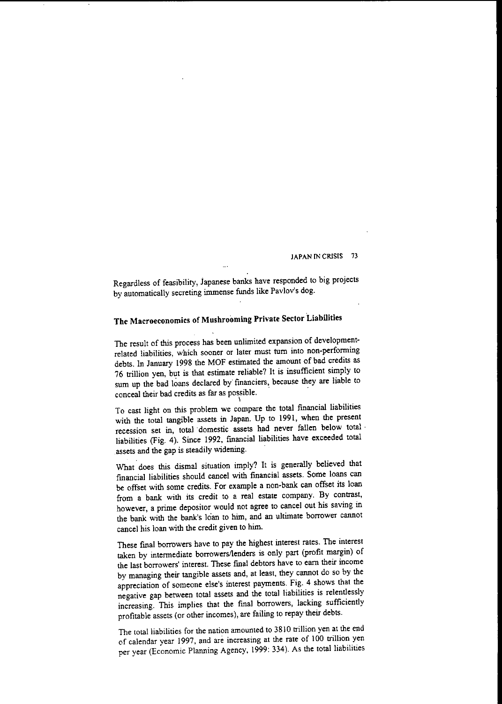Regardless of feasibility, iapanese banks have responded to big projects by automatically secreting immense funds like Pavlov's dog.

# The Macroeconomics of Mushrooming Private Sector Liabilities

The result of this process has been unlimited expansion of developmentrelated liabilities, which sooner or later must turn into non-performing debts. In January 1998 the MOF estimated the amount of bad credits as 76 trillion yen, but is that estimate reliable? It is insufficient simply to sum up the bad loans declared by fmanciers, because they are liable to conceal their bad credits as far as possible. . \

To cast light on this problem we compare the total fmancial liabilities with the total tangible assets in Japan. Up to 1991, when the present recession set in, total· domestic assets had never fallen below total· liabilities (Fig. 4). Since 1992, fmancial liabilities have exceeded total assets and the gap is steadily widening.

What does this dismal situation imply? It is generally believed that fmancial liabilities should cancel with financial assets. Some loans can be offset with some credits. For example a non-bank can offset its loan from a bank with its credit to a real estate company. By contrast, however, a prime depositor would not agree to cancel out his saving in the bank with the bank's loan to him, and an ultimate borrower carmot cancel his loan with the credit given to him.

These final borrowers have to pay the highest interest rates. The interesl taken by intermediate borrowersllenders is only part (profit margin) of **the last borrowers' interest. These fmal debtors have to eam their income** by managing their tangible assets and, at least, they carmot do so by the appreciation of someone else's interest payments. Fig. 4 shows that the negative gap between total assets and the total liabilities is relentlessly increasing. This implies that the final borrowers, lacking sufficiently profitable assets (or other incomes), are failing to repay their debts.

The total liabilities for the nation amounted to 3810 trillion yen at the end of calendar year 1997, and are increasing at the rate of 100 trillion yen per year (Economic Planning Agency, 1999: 334). As the total liabilities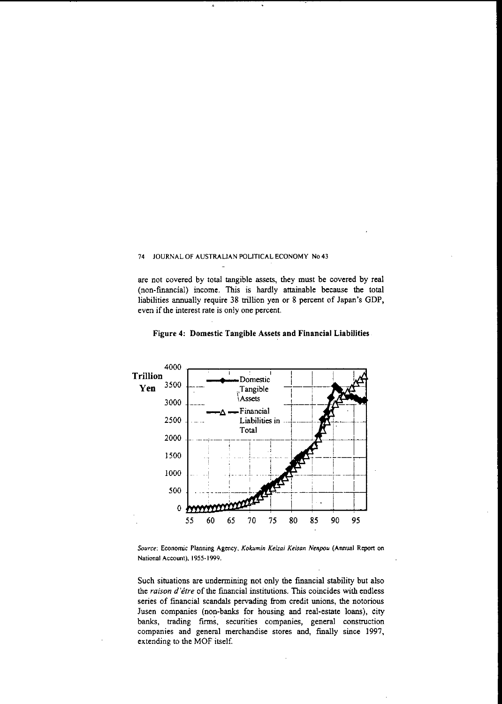$\hat{\mathbf{x}}$ 

are not covered by total tangible assets, they must be covered by real (non-fmancial) income. This is hardly attainable because the total liabilities annually require 38 trillion yen or 8 percent of Japan's GDP, even if the interest rate is only one percent.



Figure 4: Domestic Tangible Assets and Financial Liabilities

*Source:* **Economic Planning Agency,** *Kokumin Keitai Keisan Nenpou* **(Annual Report on National Account), J955-1999.**

Such situations are undermining not only the fmancial stability but also the *raison d'être* of the financial institutions. This coincides with endless series of financial scandals pervading from credit unions, the notorious Jusen companies (non-banks for housing and real-estate loans), city banks, trading finns, securities companies, general construction companies and general merchandise stores and, finally since 1997, extending to the MOF itself.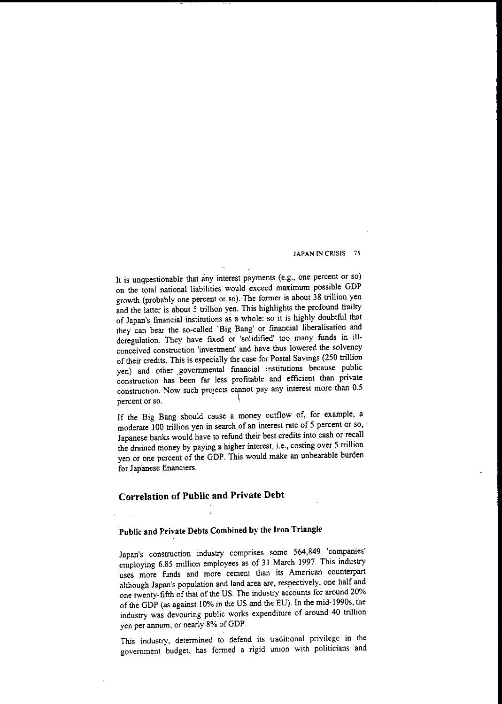It is unquestionable that any interest payments (e.g., one percent or so) on the total national liabilities would exceed maximum possible GDP growth (probably one percent or so). The former is about 38 trillion yen and the latter is about 5 trillion yen. This highlights the profound frailty of Japan's financial institutions as a whole: so it is highly doubtful that they can bear the so-called 'Big Bang' or financial liberalisation and deregulation. They have fixed or 'solidified' too many funds in ill**conceived construction 'investment' and have thus lowered the solvency** of their credits. This is especially the case for Postal Savings (250 trillion yen) and other governmental financial institutions because public construction has been far less profitable and efficient than private construction. Now such projects cannot pay any interest more than  $0.5$ **percent or so. \**

If the Big Bang should cause a money outflow of, for example, a moderate 100 trillion yen in search of an interest rate of 5 percent or so, ' Japanese banks would have to refund their best credits into cash or recall the drained money by paying a higher interest, i.e., costing over 5 trillion yen or one percent of the GDP. This would make an unbearable burden for Japanese financiers.

# **Correlation of Public and Private Debt**

# Public and Private Debts Combined by the Iron Triangle

Japan's construction industry comprises some 564,849 'companies' employing 6.85 million employees as of 31 March 1997. This industry uses more funds and more cement than its American counterpart although Japan's population and land area are, respectively, one half and one twenty-fifth of that of the US. The industry accounts for around 20% of the GDP (as against 10% in the US and the EU). In the mid-1990s, the industry was devouring public works expenditure of around 40 trillion yen per annum, or nearly 8% of GDP.

This industry, determined to defend its traditional privilege in the government budget, has formed a rigid union with politicians and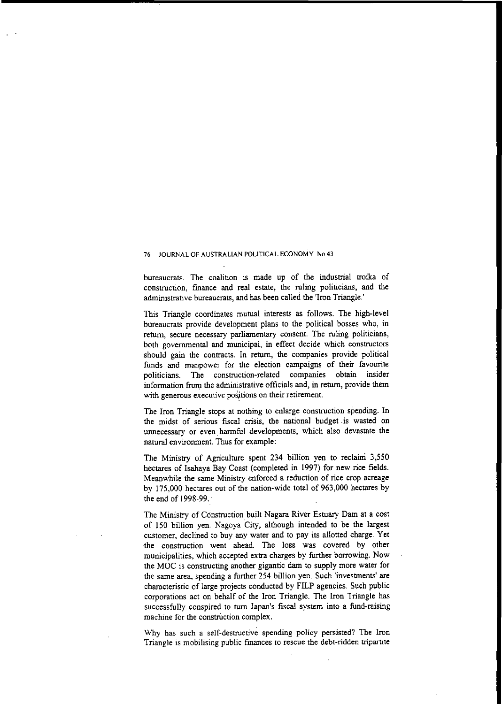bureaucrats. The coalition is made up of the industrial troika of construction, fmance and real estate, the ruling politicians, and the administrative bureaucrats, and has been called the 'Iron Triangle.'

This Triangle coordinates mutual interests as follows. The high-level bureaucrats provide development plans to the political bosses who, in return, secure necessary parliamentary consent. The ruling politicians, both governmental and municipal, in effect decide which constructors should gain the contracts. In return, the companies provide political funds and manpower for the election campaigns of their favourite politicians. The construction-related companies obtain insider information from the administrative officials and, in return, provide them  $with$  generous executive positions on their retirement.

The Iron Triangle stops at nothing to enlarge construction spending. In the midst of serious fiscal crisis, the national budget. is wasted on unnecessary or even harmful developments, which also devastate the natural environment. Thus for example:

The Ministry of Agriculture spent 234 billion yen to reclaini 3,550 hectares of Isahaya Bay Coast (completed in 1997) for new rice fields. Meanwhile the same Ministry enforced a reduction of rice crop acreage by 175,000 hectares out of the nation-wide total of 963,000 hectares by the end of 1998-99.

The Ministry of Construction built Nagara River Estuary Dam at a cost of 150 billion yen. Nagoya City, although intended to be the largest customer, declined to buy any water and to pay its allotted charge. Yet ·the construction went ahead. The loss was covered by other municipalities, which accepted extra charges by further borrowing. Now the MOC is constructing another gigantic dam to supply more water for the same area, spending a further 254 billion yen. Such 'investments' are characteristic of large projects conducted by FILP agencies. Such public corporations act on behalf of the Iron Triangle. The Iron Triangle has successfully conspired to turn Japan's fiscal system into a fund-raising  $m$  **machine** for the construction complex.

Why has such a self-destructive spending policy persisted? The Iron Triangle is mobilising public finances to rescue the debt-ridden tripartite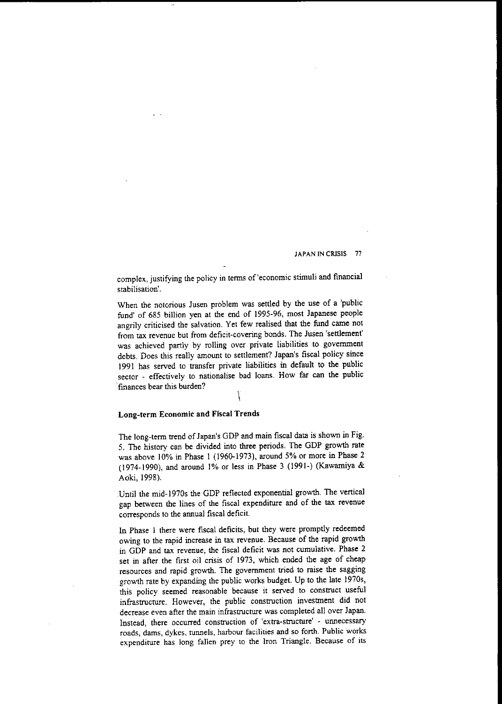complex, juslifying the policy in tenns of'economic stimuli and fmancial **stabilisation'.**

When the notorious Jusen problem was settled by the use of a 'public fund' of 685 billion yen at the end of 1995-96, most Japanese people angrily criticised the salvation. Yet few realised that the fund came not from tax revenue but from deficit-covering bonds. The Jusen 'settlement' was achieved partly by rolling over private liabilities to government debts. Does this really amount to settlement? Japan's fiscal policy since 1991 has served to transfer private liabilities in default to the public sector - effectively to nationalise bad loans. How far can the public .**finances bear this burden?**

# $\overline{\phantom{a}}$

## Long-term Economic and Fiscal Trends

The long-term trend of Japan's GDP and main fiscal data is shown in Fig. 5. The history can be divided into three periods. The GDP growth rate was above 10% in Phase 1 (1960-1973), around 5% or more in Phase 2 (1974-1990), and around 1% or less in Phase 3 (1991-) (Kawamiya & Aoki, 1998).

.Until the mid-1970s the GDP reflected exponential growth. The vertical gap between the lines of the fiscal expenditure and of the tax revenue corresponds to the annual fiscal deficit.

In Phase I there were fiscal deficits, but they were promptly redeemed owing to the rapid increase in tax revenue. Because of the rapid growth in GDP and tax revenue, the fiscal deficit was not cumulative. Phase 2 set in after the first oil crisis of 1973, which ended the age of cheap resources and rapid growth. The government tried to raise the sagging growth rate by expanding the public works budget. Up to the late 1970s, this policy seemed reasonable because it served to construct useful infrastructure. However, the public construction investment did not decrease even after the main infrastructure was completed all over Japan. **Instead, there occurred construction of lextra-structurel <sup>p</sup> unnecessary roads, dams, dykes, tunnels, harbour facilities and so forth. Public works expenditure has long fallen prey to the Iron Triangle. Because of its**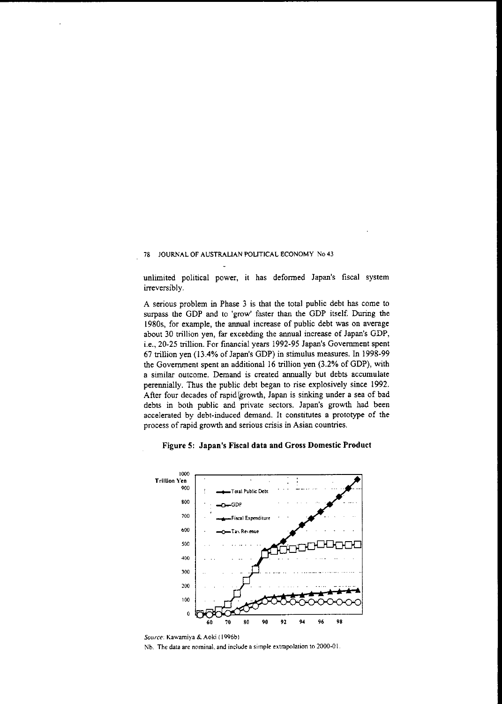unlimited political power, it has deformed Japan's fiscal system irreversibly.

A serious problem in Phase 3 is that the total public debt has come to surpass the GDP and to 'grow' faster than the GDP itself. During the 1980s, for example, the annual increase of public debt was on average about 30 trillion yen, far exceeding the annual increase of Japan's GDP, i.e., 20-25 trillion. For fmancial years 1992-95 Japan's Government spent 67 trillion yen (13.4% of Japan's GDP) in stimulus measures. In 1998-99 the Government spent an additional 16 trillion yen (3.2% of GDP), with a similar outcome. Demand is created annually but debts accumulate perennially. Thus the public debt began to rise explosively since 1992. After four decades of rapid growth, Japan is sinking under a sea of bad debts in both public and 'private sectors. Japan's growth had been accelerated by debt-induced demand. It constitutes a prototype of the **process of rapid growth and serious crisis in Asian countries.**

## Figure 5: Japan's Fiscal data and Gross Domestic Product



*Source:* **Kawamiya & Aoki (1996bl** Nb. **The data are nominal. and include a simple extrapolation to 2000·01.**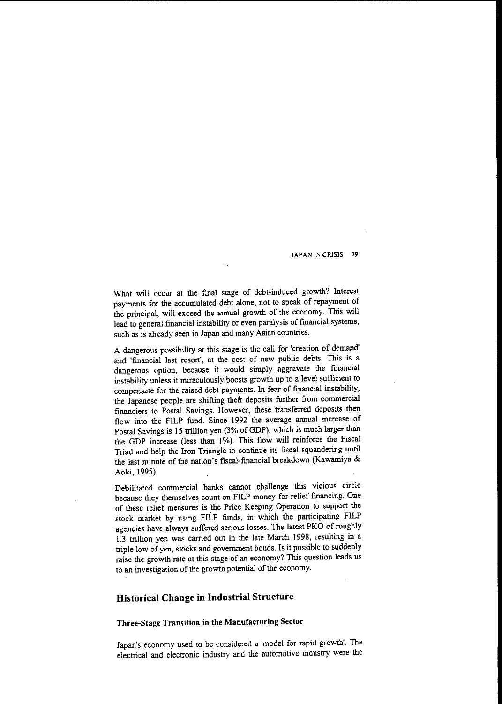What will occur at the fmal stage of debt-induced growth? Interest payments for the accumulated debt alone, not to speak of repayment of the principal, will exceed the annual growth of the economy. This will lead to general fmancial instability or even paralysis of fmancial systems, **such as is already seen in Japan and many Asian countries.**

A dangerous possibility at this stage is the call for 'creation of demand' and 'financial last resort', at the cost of new public debts. This is a dangerous option, because it would simply. aggravate the financial instability unless it miraculously boosts growth up to a level sufficient to compensate for the raised debt payments. In fear of fmancial instability, the Japanese people are shifting their deposits further from commercial financiers to Postal Savings. However, these transferred deposits then flow into the FlLP fimd. Since 1992 the average annual increase of Postal Savings is 15 trillion yen (3% of GDP), which is much larger than the GDP increase (less than 1%). This flow will reinforce the Fiscal Triad and help the Iron Triangle to continue its fiscal squandering until the last minute of the nation's fiscal-fmancial breakdown (Kawarniya & Aoki, 1995).

Debilitated commercial banks cannot challenge this vicious circle because they themselves count on FILP money for relief fmancing. One of these relief measures is the Price Keeping Operation to support the stock market by using FlLP funds, in which the participating FlLP agencies have always suffered serious losses. The latest PKO of roughly 1.3 trillion yen was carried out in the late March 1998, resulting in a triple low of yen, stocks and government bonds. Is it possible to suddenly raise the growth rate at this stage of an economy? This question leads us to an investigation of the growth potential of the economy.

# **Historical Change in Industrial Structure**

## Three-Stage Transition in the Manufacturing Sector

Japan's economy used to be considered a 'model for rapid growth'. The electrical and electronic industry and the automotive industry were the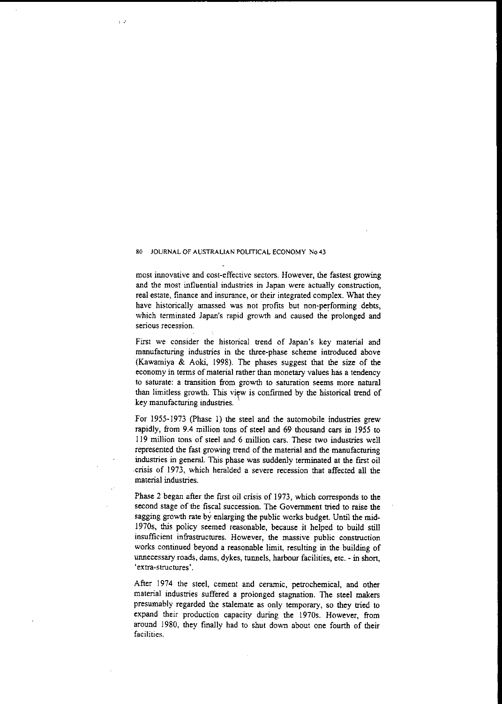; **."**

**most innovative and cost-effective sectors. However, the fastest growing and the most influential industries in Japan were actually construction,** real estate, finance and insurance, or their integrated complex. What they have historically amassed was not profits but non-performing debts, which terminated Japan's rapid growth and caused the prolonged and **serious recession.**

First we consider the historical trend of Japan's key material and manufacturing industries in the three-phase scheme introduced above (Kawamiya & Aoki, 1998). The phases suggest that the size of the economy in terms of material rather than monetary values has a tendency **to saturate: a transition from growth to saturation seems more natural** than limitless growth. This view is confirmed by the historical trend of key manufacturing industries.

For 1955-1973 (Phase 1) the steel and the automobile industries grew rapidly, from 9.4 million tons of steel and 69 thousand cars in 1955 to 119 million tons of steel and 6 million cars. These two industries well represented the fast growing trend of the material and the manufacturing industries in general. This phase was suddenly terminated at the first oil crisis of 1973, which heralded a severe recession that affected all the material industries.

Phase 2 began after the first oil crisis of 1973, which corresponds to the second stage of the fiscal succession. The Government nied to raise the sagging growth rate by enlarging the public works budget. Until the mid-1970s, this policy seemed reasonable, because it helped to build still **insufficient infrastructures. However, the massive public construction** works continued beyond a reasonable limit, resulting in the building of unnecessary roads, dams, dykes, tunnels, harbour facilities, etc. - in short, **'extra-structures'**.

After 1974 the steel, cement and ceramic, petrochemical, and other material industries suffered a prolonged stagnation. The steel makers presumably regarded the stalemate as only temporary, so they tried to expand their production capacity during the 1970s. However, from around 1980, they finally had to shut down about one fourth of their **facilities.**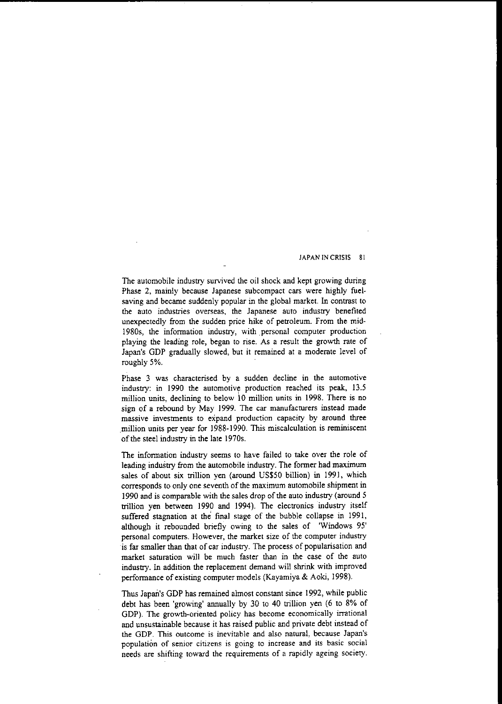The automobile industry survived the oil shock and kept growing during Phase 2, mainly because Japanese subcompact cars were highly fuelsaving and became suddenly popular in the global market. In contrast to the auto industries overseas, the Japanese auto industry benefited unexpectedly from the sudden price hike of petroleum. From the mid-1980s, the information industry, with personal computer production playing the leading role, began to rise. As a result the growth rate of Japan's GDP gradually slowed, but it remained at a moderate level of roughly 5%.

Phase 3 was characterised by a sudden decline in the automotive industry: in 1990 the automotive production reached its peak, 13.5 million units, declining to below 10 million units in 1998. There is no sign of a rebound by May 1999. The car manufacturers instead made massive investments to expand production capacity by around three .million units per year for 1988-1990. This miscalculation is reminiscent of the steel industry in the late 1970s.

The information industry seems to have failed to take over the role of leading industry from the automobile industry. The former had maximum sales of about six trillion yen (around US\$50 billion) in 1991, which corresponds to only one seventh of the maximum automobile shipment in 1990 and is comparable with the sales drop of the auto industry (around 5 trillion yen between 1990 and 1994). The electronics industry itself suffered stagnation at the final stage of the bubble collapse in 1991, although it rebounded briefly owing to the sales of 'Windows 95' **personal computers. However, the market size of the computer industry** is far smaller than that of car industry. The process of popularisation and market saturation will be much faster than in the case of the auto industry. In addition the replacement demand will shrink with improved performance of existing computer models (Kayamiya & Aoki, 1998).

Thus Japan's GDP has remained almost constant since 1992, while public debt has been 'growing' annually by 30 to 40 trillion yen (6 to 8% of GDP). The growth-oriented policy has become economically irrational and unsustainable because it has raised public and private debt instead of **the GDP. This outcome is inevitable and also naturaL because Japan's population of senior citizens is going to increase and its basic social** needs are shifting toward the requirements of a rapidly ageing society.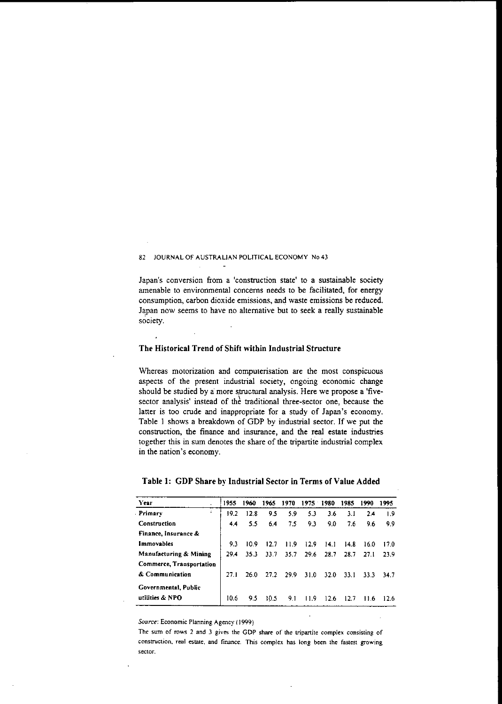**Japan's conversion from a lconstruction state' to a sustainable society** amenable to environmental concerns needs to be facilitated, for energy **consumption, carbon dioxide emissions, and waste emissions be reduced.** Japan now seems to have no alternative but to seek a really sustainable **society.**

## The Historical Trend of Shift within Industrial Structure

**Whereas motorization and computerisation are the most conspicuous** aspects of the present industrial society, ongoing economic change should be studied by a more structural analysis. Here we propose a 'fivesector analysis' instead of the traditional three-sector one, because the latter is too crude and inappropriate for a study of Japan's economy. Table I shows a breakdown of GDP by industrial sector. If we put the **construction, the finance and insurance, and the real estate industries** together this in sum denotes the share of the tripartite industrial complex **in the nation's economy.**

| Year                     | 1955 | 1960 | 1965 | 1970 | 1975 1980 |      | 1985 | 1990 | 1995 |
|--------------------------|------|------|------|------|-----------|------|------|------|------|
| Primary<br>÷             | 19.2 | 12.8 | 9.5  | 5.9  | 5.3       | 3.6  | 3.1  | 2.4  | 1.9  |
| Construction             | 4.4  | 5.5  | 6.4  | 7.5  | 9.3       | 9.0  | 7.6  | 9.6  | 9.9  |
| Finance, Insurance &     |      |      |      |      |           |      |      |      |      |
| <b>Immovables</b>        | 9.3  | 10.9 | 12.7 | 11.9 | 12.9      | 14.1 | 14.8 | 16.0 | 17.0 |
| Manufacturing & Mining   | 29.4 | 35.3 | 33.7 | 35.7 | 29.6      | 28.7 | 28.7 | 27.1 | 23.9 |
| Commerce, Transportation |      |      |      |      |           |      |      |      |      |
| & Communication          | 27.1 | 26.0 | 27.2 | 29.9 | 310       | 32.0 | 33.1 | 33.3 | 34.7 |
| Governmental, Public     |      |      |      |      |           |      |      |      |      |
| utilities & NPO          | 10.6 | 9.5  | 10.5 | 9.1  | 11.9      | 12.6 | 12.7 | 11.6 | 12.6 |

### Table 1: **GDP** Share by Industrial Sector in Terms of Value Added

*Source:* **Economic Planning Agency (J 999)**

**The sum of rows 2 and J gives the GOP share of the tripartite complex consisting of construction. real estate, and finance. This complex has long been the fastest growing sector,**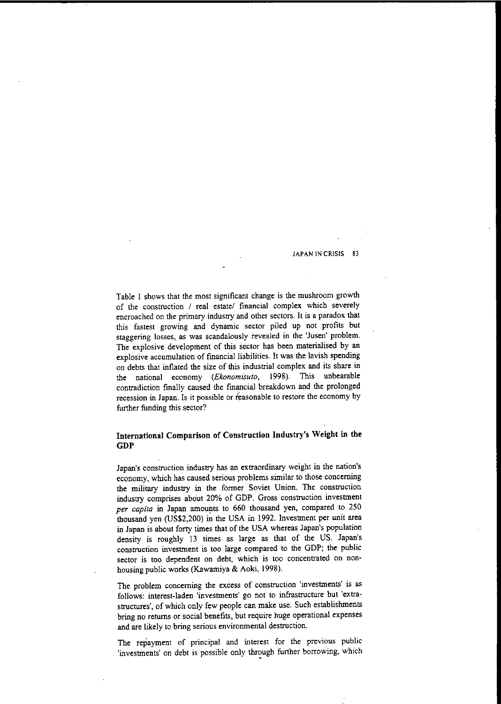Table I shows that the most significant change is the mushroom growth of the construction / real estate/ financial complex which severely encroached on the primary industry and other sectors. It is a paradox that this fastest growing and dynamic sector piled up not profits but staggering losses, as was scandalously revealed in the 'Jusen' problem. The explosive development of this sector has been materialised by an explosive accumulation of financial liabilities. It was the lavish spending on debts that inflated the size of this industrial complex and its share in the national economy *(Ekonomisuto,* 1998). This unbearable contradiction finally caused the fmancial breakdown and the prolonged recession in Japan. Is it possible or reasonable to restore the economy by further funding this sector?

## **International Comparison of Construction Industry'S Weight in the GDP**

**Japan's construction industry has an extraordinary weight in the nation's** economy, which has caused serious problems similar to those concerning the military industry in the former Soviet Union. The construction industry comprises about 20% of GDP. Gross construction investment *per capita* in Japan amounts to 660 thousand yen, compared to 250 thousand yen (US\$2,200) in the USA in 1992. Investment per unit area in Japan is about forty times that of the USA whereas Japan's population density is roughly 13 times as large as that of the US. Japan's construction investment is too large compared to the GDP; the public sector is too dependent on debt, which is too concentrated on nonhousing public works (Kawamiya & Aoki, 1998).

**The problem concerning the excess of construction 'investments' is as** follows: interest-laden 'investments' go not to infrastructure but 'extrastructures', of which only few people can make use. Such establishments bring no returns or social benefits, but require huge operational expenses and are likely to bring serious environmental destruction.

The repayment of principal and interest for the previous public 'investments' on debt is possible only through further borrowing, which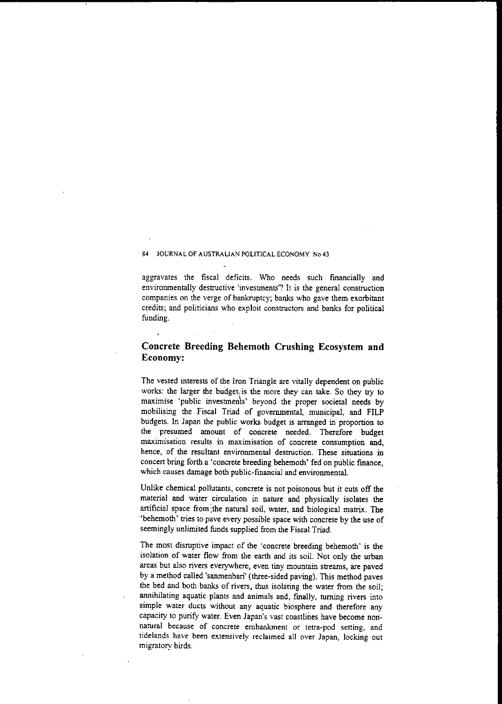aggravates the fiscal deficits. Who needs such financially and environmentally destructive 'investments'? It is the general construction companies on the verge of bankruptcy; banks who gave them exorbitant credits; and politicians who exploit constructors and banks for political funding. .

# **Concrete Breeding Behemoth Crushing Ecosystem and Economy:**

The vested interests of the Iron Triangle are vitally dependent on public works: the larger the budget; is the more they can take. So they try to maximise 'public investmenls' beyond the proper societal needs by mobilising the Fiscal Triad of governmental, municipal, and FILP budgets. In Japan the public works budget is arranged in proportion to the presumed amount of concrete needed. Therefore budget  $maximization$  **results** in maximisation of concrete consumption and, hence, of the resultant environmental desnuction. These situations in concert bring forth a 'concrete breeding behemoth' fed on public fmance, which causes damage both public-fmancial and environmental.

Unlike chemical pollutants, concrete is not poisonous but it cuts off the material and water circulation in nature and physically isolates the artificial space from ;the natural soil, water, and biological matrix. The 'behemoth' tries to pave every possible space with concrete by the use of seemingly unlimited funds supplied from the Fiscal Triad.

The most disruptive impact of the 'concrete breeding behemoth' is the isolation of water flow from the earth and its soil. Not only the urban **areas but also rivers everywhere, even tiny mountain streams, are paved** by a method called 'sanmenbari' (three-sided paving). This method paves the bed and both banks of rivers, thus isolating the water from the soil; annihilating aquatic plants and animals and, fmally, turning rivers into simple water ducts without any aquatic biosphere and therefore any capacity to purify water. Even Japan's vast coastlines have become nori**natural because of concrete embankment or tetra-pod setting, and tidelands have been extensively reclaimed all over Japan, locking out** migratory birds.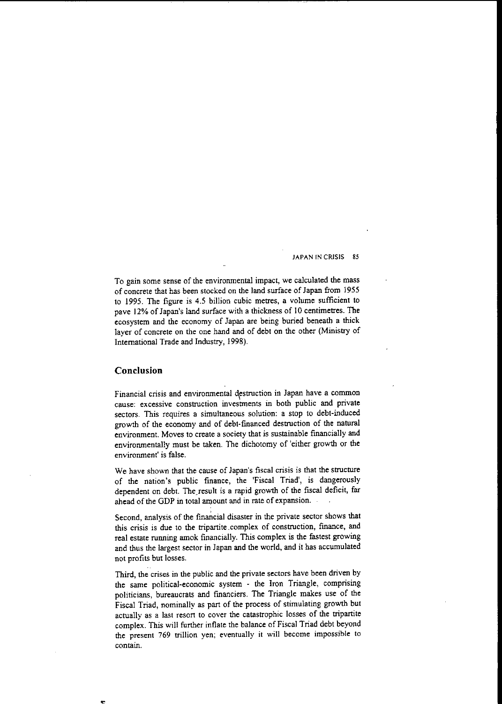To gain some sense of the environmental impact, we calculated the mass of concrete thal has been stocked on the land surface of Japan from 1955 to 1995. The figure is 4.5 billion cubic metres, a volume sufficient to pave 12% of Japan's land surface with a thickness of 10 centimetres. The ecosystem and the economy of Japan are being buried beneath a thick layer of concrete on the one hand and of debt on the other (Ministry of International Trade and Industry, 1998).

### **Conclusion**

**Financial crisis and environmental ,\estruction in Japan have a common cause: excessive construction investments in both public and private** sectors. This requires a simultaneous solution: a stop to debl-induced growth of the economy and of debl-fmanced destruction of the natural environment. Moves to create a society that is sustainable financially and environmentally must be taken. The dichotomy of 'either growth or the **environment' is false.**

We have shown that the cause of Japan's fiscal crisis is that the structure of the nation's public finance, the 'Fiscal Triad', is dangerously dependent on debt. The result is a rapid growth of the fiscal deficit, far ahead of the GDP in total amount and in rate of expansion.

Second, analysis of the fmancial disaster in the private sector shows that **this crisis is due to the tripartite** .complex **of construction, fmanee, and** real estate running amok financially. This complex is the fastest growing and thus the largest sector in Japan and the world, and it has accumulated not profits but losses.

Third, the crises in the public and the private sectors have been driven by the same political-economic system - the Iron Triangle, comprising politicians, bureaucrats and fmanciers. The Triangle makes use of the Fiscal Triad, nominally as part of the process of stimulating growth but actually as a last resort to cover the catastrophic losses of the tripartite complex. This will further inflate the balance of Fiscal Triad debt beyond **the present 769 trillion yen; eventually it will become impossible to contain.**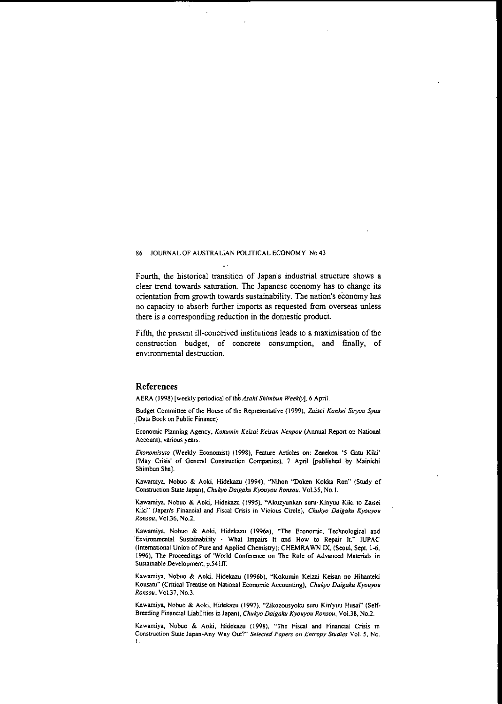Fourth, the historical transition of Japan's industrial structure shows a clear trend towards saturation. The Japanese economy has to change its orientation from growth towards sustainability. The nation's economy has no capacity to absorb further imports as requested from overseas unless there is a corresponding reduction in the domestic product.

Fifth, the present ill-conceived institutions leads to a maximisation of the construction budget, of concrete consumption, and fmally, of environmental destruction.

#### References

AERA (1998) [weekly periodical of the *Asahi Shimbun Weekly*], 6 April.

Budget Committee of the House of the Representative (1999), Zaisei Kankei Siryou Syuu ,(Data Book on Public Finance)

Economic Planning Agency, *Kokumin Keizai Keisan Nenpou* (Annual Report on National Account), various years.

*Ekonomisuro* (Weekly Economist) (1998), Feature Articles on: Zenekon '5 Gatu Kiki' ('May Crisis' of General Construction Companies), 7 April [published by Mainichi Shimbun Sha}.

Kawamiya, Nobuo & Aoki, Hidekazu (1994), "Nihon "Doken Kokka Ran" (Study of Construction State Japan), *Chukyo Daigalcu Kyouyou Ronsou.* Vo1.35. NO.I.

Kawamiya, Nobuo & Aoki, Hidekazu (1995), "Akuzyunkan suru Kinyuu Kiki to Zaisei Kiki" (Japan's Financial and Fiscal Crisis in Vicious Circle). *Chukyo Daigaku Kyouyou Ronsou.* Vo1.36. No.2.

Kawamiya, Nobuo & Aoki, Hidekazu (1996a), "The Economic, Technological and "Environmental Sustainability - What Impairs It and How to Repair It." IUPAC (International Union of Pure and Applied Chemistry): CHEMRAWN IX. (Seoul, Sept. 1-6, 1996), The Proceedings of 'World COnference on The Role of Advanced Materials in Sustainable Development, p.541ff.

Kawamiya, Nobuo & Aoki, Hidekazu (1996b), "Kokumin Keizai Keisan no Hihanteki Kousatu" (Critical Treatise on National Economic Accounting). *Chukyo Daigaku Kyouyou Ronsou.* Vol.37, NO.3.

Kawamiya, Nobuo & Aoki, Hidekazu (1997), "Zikozousyoku suru Kin'yuu Husai" (Self-Breeding Financial Liabilities in Japan), *Chukyo Daigaku Kyouyou Ronsou,* Vo1.38, NO.2.

Kawamiya, Nobuo & Aoki, Hidekazu (1998), "The Fiscal and Financial Crisis in Construction State Japan-Any Way Out?" *Selected Papers on Entropy Studies* Vol. 5, No. I.